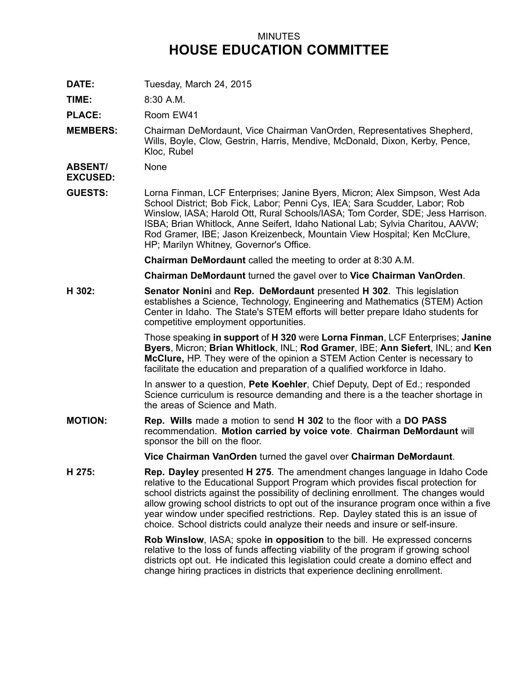## MINUTES **HOUSE EDUCATION COMMITTEE**

**DATE:** Tuesday, March 24, 2015

**TIME:** 8:30 A.M.

PLACE: Room EW41

**MEMBERS:** Chairman DeMordaunt, Vice Chairman VanOrden, Representatives Shepherd, Wills, Boyle, Clow, Gestrin, Harris, Mendive, McDonald, Dixon, Kerby, Pence, Kloc, Rubel

**ABSENT/** None

**EXCUSED:**

**GUESTS:** Lorna Finman, LCF Enterprises; Janine Byers, Micron; Alex Simpson, West Ada School District; Bob Fick, Labor; Penni Cys, IEA; Sara Scudder, Labor; Rob Winslow, IASA; Harold Ott, Rural Schools/IASA; Tom Corder, SDE; Jess Harrison. ISBA; Brian Whitlock, Anne Seifert, Idaho National Lab; Sylvia Charitou, AAVW; Rod Gramer, IBE; Jason Kreizenbeck, Mountain View Hospital; Ken McClure, HP; Marilyn Whitney, Governor's Office.

**Chairman DeMordaunt** called the meeting to order at 8:30 A.M.

**Chairman DeMordaunt** turned the gavel over to **Vice Chairman VanOrden**.

**H 302: Senator Nonini** and **Rep. DeMordaunt** presented **H 302**. This legislation establishes <sup>a</sup> Science, Technology, Engineering and Mathematics (STEM) Action Center in Idaho. The State's STEM efforts will better prepare Idaho students for competitive employment opportunities.

> Those speaking **in support** of **H 320** were **Lorna Finman**, LCF Enterprises; **Janine Byers**, Micron; **Brian Whitlock**, INL; **Rod Gramer**, IBE; **Ann Siefert**, INL; and **Ken McClure,** HP. They were of the opinion <sup>a</sup> STEM Action Center is necessary to facilitate the education and preparation of <sup>a</sup> qualified workforce in Idaho.

In answer to <sup>a</sup> question, **Pete Koehler**, Chief Deputy, Dept of Ed.; responded Science curriculum is resource demanding and there is <sup>a</sup> the teacher shortage in the areas of Science and Math.

**MOTION: Rep. Wills** made <sup>a</sup> motion to send **H 302** to the floor with <sup>a</sup> **DO PASS** recommendation. **Motion carried by voice vote**. **Chairman DeMordaunt** will sponsor the bill on the floor.

**Vice Chairman VanOrden** turned the gavel over **Chairman DeMordaunt**.

**H 275: Rep. Dayley** presented **H 275**. The amendment changes language in Idaho Code relative to the Educational Support Program which provides fiscal protection for school districts against the possibility of declining enrollment. The changes would allow growing school districts to opt out of the insurance program once within <sup>a</sup> five year window under specified restrictions. Rep. Dayley stated this is an issue of choice. School districts could analyze their needs and insure or self-insure.

> **Rob Winslow**, IASA; spoke **in opposition** to the bill. He expressed concerns relative to the loss of funds affecting viability of the program if growing school districts opt out. He indicated this legislation could create <sup>a</sup> domino effect and change hiring practices in districts that experience declining enrollment.